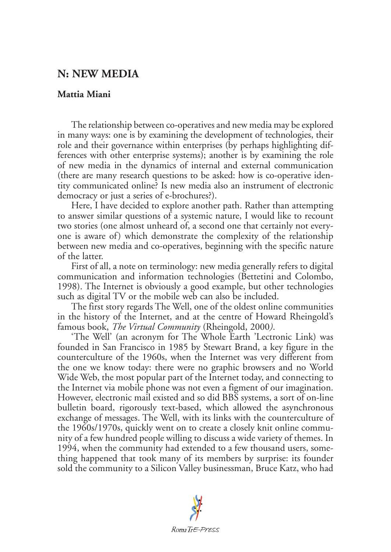## **N: NEW MEDIA**

## **Mattia Miani**

The relationship between co-operatives and new media may be explored in many ways: one is by examining the development of technologies, their role and their governance within enterprises (by perhaps highlighting differences with other enterprise systems); another is by examining the role of new media in the dynamics of internal and external communication (there are many research questions to be asked: how is co-operative identity communicated online? Is new media also an instrument of electronic democracy or just a series of e-brochures?).

Here, I have decided to explore another path. Rather than attempting to answer similar questions of a systemic nature, I would like to recount two stories (one almost unheard of, a second one that certainly not everyone is aware of) which demonstrate the complexity of the relationship between new media and co-operatives, beginning with the specific nature of the latter.

First of all, a note on terminology: new media generally refers to digital communication and information technologies (Bettetini and Colombo, 1998). The Internet is obviously a good example, but other technologies such as digital TV or the mobile web can also be included.

The first story regards The Well, one of the oldest online communities in the history of the Internet, and at the centre of Howard Rheingold's famous book, *The Virtual Community* (Rheingold, 2000*)*.

'The Well' (an acronym for The Whole Earth 'Lectronic Link) was founded in San Francisco in 1985 by Stewart Brand, a key figure in the counterculture of the 1960s, when the Internet was very different from the one we know today: there were no graphic browsers and no World Wide Web, the most popular part of the Internet today, and connecting to the Internet via mobile phone was not even a figment of our imagination. However, electronic mail existed and so did BBS systems, a sort of on-line bulletin board, rigorously text-based, which allowed the asynchronous exchange of messages. The Well, with its links with the counterculture of the 1960s/1970s, quickly went on to create a closely knit online community of a few hundred people willing to discuss a wide variety of themes. In 1994, when the community had extended to a few thousand users, something happened that took many of its members by surprise: its founder sold the community to a Silicon Valley businessman, Bruce Katz, who had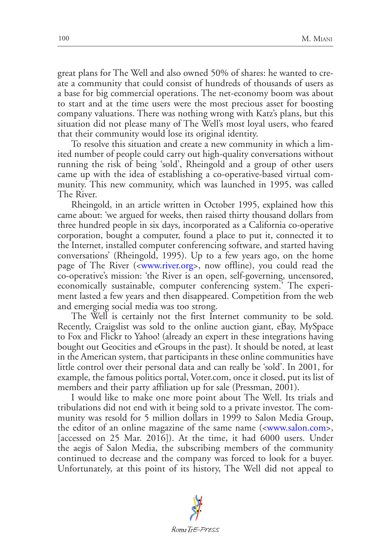great plans for The Well and also owned 50% of shares: he wanted to create a community that could consist of hundreds of thousands of users as a base for big commercial operations. The net-economy boom was about to start and at the time users were the most precious asset for boosting company valuations. There was nothing wrong with Katz's plans, but this situation did not please many of The Well's most loyal users, who feared that their community would lose its original identity.

To resolve this situation and create a new community in which a limited number of people could carry out high-quality conversations without running the risk of being 'sold', Rheingold and a group of other users came up with the idea of establishing a co-operative-based virtual community. This new community, which was launched in 1995, was called The River.

Rheingold, in an article written in October 1995, explained how this came about: 'we argued for weeks, then raised thirty thousand dollars from three hundred people in six days, incorporated as a California co-operative corporation, bought a computer, found a place to put it, connected it to the Internet, installed computer conferencing software, and started having conversations' (Rheingold, 1995). Up to a few years ago, on the home page of The River ([<www.river.org](www.river.org)>, now offline), you could read the co-operative's mission: 'the River is an open, self-governing, uncensored, economically sustainable, computer conferencing system.' The experiment lasted a few years and then disappeared. Competition from the web and emerging social media was too strong.

The Well is certainly not the first Internet community to be sold. Recently, Craigslist was sold to the online auction giant, eBay, MySpace to Fox and Flickr to Yahoo! (already an expert in these integrations having bought out Geocities and eGroups in the past). It should be noted, at least in the American system, that participants in these online communities have little control over their personal data and can really be 'sold'. In 2001, for example, the famous politics portal, Voter.com, once it closed, put its list of members and their party affiliation up for sale (Pressman, 2001).

I would like to make one more point about The Well. Its trials and tribulations did not end with it being sold to a private investor. The community was resold for 5 million dollars in 1999 to Salon Media Group, the editor of an online magazine of the same name ([<www.salon.com](www.salon.com)>, [accessed on 25 Mar. 2016]). At the time, it had 6000 users. Under the aegis of Salon Media, the subscribing members of the community continued to decrease and the company was forced to look for a buyer. Unfortunately, at this point of its history, The Well did not appeal to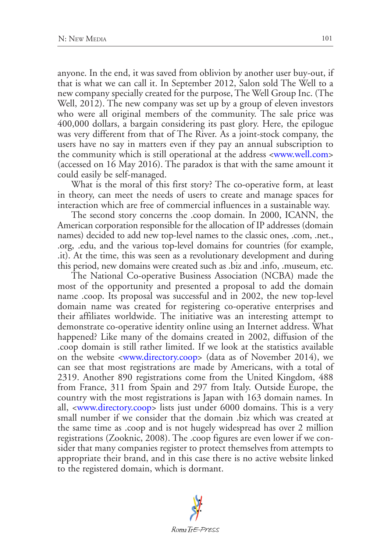anyone. In the end, it was saved from oblivion by another user buy-out, if that is what we can call it. In September 2012, Salon sold The Well to a new company specially created for the purpose, The Well Group Inc. (The Well, 2012). The new company was set up by a group of eleven investors who were all original members of the community. The sale price was 400,000 dollars, a bargain considering its past glory. Here, the epilogue was very different from that of The River. As a joint-stock company, the users have no say in matters even if they pay an annual subscription to the community which is still operational at the address <<www.well.com>> (accessed on 16 May 2016). The paradox is that with the same amount it could easily be self-managed.

What is the moral of this first story? The co-operative form, at least in theory, can meet the needs of users to create and manage spaces for interaction which are free of commercial influences in a sustainable way.

The second story concerns the .coop domain. In 2000, ICANN, the American corporation responsible for the allocation of IP addresses (domain names) decided to add new top-level names to the classic ones, .com, .net., .org, .edu, and the various top-level domains for countries (for example, .it). At the time, this was seen as a revolutionary development and during this period, new domains were created such as .biz and .info, .museum, etc.

The National Co-operative Business Association (NCBA) made the most of the opportunity and presented a proposal to add the domain name .coop. Its proposal was successful and in 2002, the new top-level domain name was created for registering co-operative enterprises and their affiliates worldwide. The initiative was an interesting attempt to demonstrate co-operative identity online using an Internet address. What happened? Like many of the domains created in 2002, diffusion of the .coop domain is still rather limited. If we look at the statistics available on the website <[www.directory.coop>](www.directory.coop) (data as of November 2014), we can see that most registrations are made by Americans, with a total of 2319. Another 890 registrations come from the United Kingdom, 488 from France, 311 from Spain and 297 from Italy. Outside Europe, the country with the most registrations is Japan with 163 domain names. In all, <[www.directory.coop>](www.directory.coop) lists just under 6000 domains. This is a very small number if we consider that the domain .biz which was created at the same time as .coop and is not hugely widespread has over 2 million registrations (Zooknic, 2008). The .coop figures are even lower if we consider that many companies register to protect themselves from attempts to appropriate their brand, and in this case there is no active website linked to the registered domain, which is dormant.